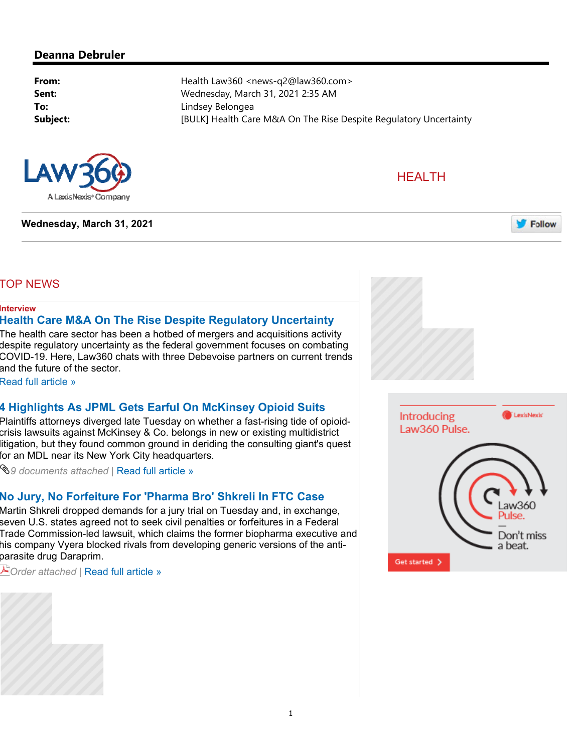### **Deanna Debruler**

**From:** Health Law360 <news-q2@law360.com> **Sent:** Wednesday, March 31, 2021 2:35 AM **To:** Lindsey Belongea **Subject:** [BULK] Health Care M&A On The Rise Despite Regulatory Uncertainty



**Wednesday, March 31, 2021** 



Follow

HEALTH

### TOP NEWS

**Interview** 

# **Health Care M&A On The Rise Despite Regulatory Uncertainty**

The health care sector has been a hotbed of mergers and acquisitions activity despite regulatory uncertainty as the federal government focuses on combating COVID-19. Here, Law360 chats with three Debevoise partners on current trends and the future of the sector.

Read full article »

# **4 Highlights As JPML Gets Earful On McKinsey Opioid Suits**

Plaintiffs attorneys diverged late Tuesday on whether a fast-rising tide of opioidcrisis lawsuits against McKinsey & Co. belongs in new or existing multidistrict litigation, but they found common ground in deriding the consulting giant's quest for an MDL near its New York City headquarters.

*9 documents attached |* Read full article »

# **No Jury, No Forfeiture For 'Pharma Bro' Shkreli In FTC Case**

Martin Shkreli dropped demands for a jury trial on Tuesday and, in exchange, seven U.S. states agreed not to seek civil penalties or forfeitures in a Federal Trade Commission-led lawsuit, which claims the former biopharma executive and his company Vyera blocked rivals from developing generic versions of the antiparasite drug Daraprim.

*Order attached |* Read full article »



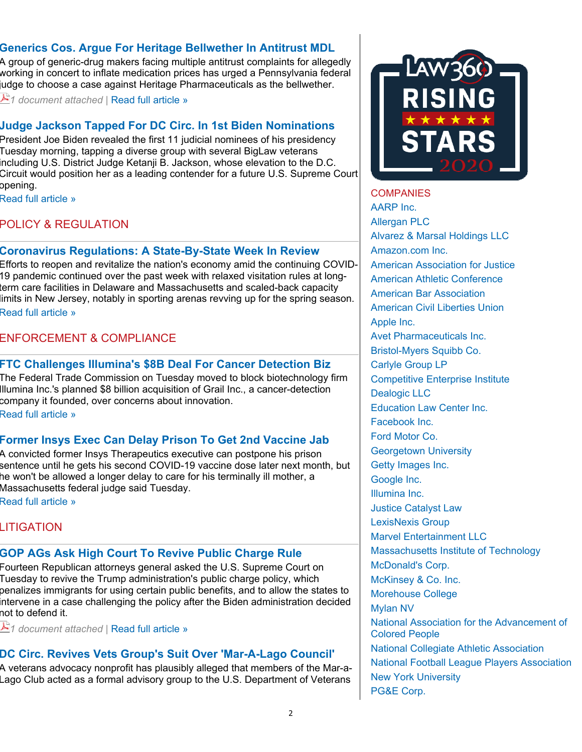### **Generics Cos. Argue For Heritage Bellwether In Antitrust MDL**

A group of generic-drug makers facing multiple antitrust complaints for allegedly working in concert to inflate medication prices has urged a Pennsylvania federal judge to choose a case against Heritage Pharmaceuticals as the bellwether.

*1 document attached |* Read full article »

## **Judge Jackson Tapped For DC Circ. In 1st Biden Nominations**

President Joe Biden revealed the first 11 judicial nominees of his presidency Tuesday morning, tapping a diverse group with several BigLaw veterans including U.S. District Judge Ketanji B. Jackson, whose elevation to the D.C. Circuit would position her as a leading contender for a future U.S. Supreme Court opening.

Read full article »

## POLICY & REGULATION

#### **Coronavirus Regulations: A State-By-State Week In Review**

Efforts to reopen and revitalize the nation's economy amid the continuing COVID-19 pandemic continued over the past week with relaxed visitation rules at longterm care facilities in Delaware and Massachusetts and scaled-back capacity limits in New Jersey, notably in sporting arenas revving up for the spring season. Read full article »

# ENFORCEMENT & COMPLIANCE

#### **FTC Challenges Illumina's \$8B Deal For Cancer Detection Biz**

The Federal Trade Commission on Tuesday moved to block biotechnology firm Illumina Inc.'s planned \$8 billion acquisition of Grail Inc., a cancer-detection company it founded, over concerns about innovation.

Read full article »

#### **Former Insys Exec Can Delay Prison To Get 2nd Vaccine Jab**

A convicted former Insys Therapeutics executive can postpone his prison sentence until he gets his second COVID-19 vaccine dose later next month, but he won't be allowed a longer delay to care for his terminally ill mother, a Massachusetts federal judge said Tuesday.

Read full article »

## **LITIGATION**

#### **GOP AGs Ask High Court To Revive Public Charge Rule**

Fourteen Republican attorneys general asked the U.S. Supreme Court on Tuesday to revive the Trump administration's public charge policy, which penalizes immigrants for using certain public benefits, and to allow the states to intervene in a case challenging the policy after the Biden administration decided not to defend it.

*1 document attached |* Read full article »

#### **DC Circ. Revives Vets Group's Suit Over 'Mar-A-Lago Council'**

A veterans advocacy nonprofit has plausibly alleged that members of the Mar-a-Lago Club acted as a formal advisory group to the U.S. Department of Veterans



**COMPANIES** AARP Inc. Allergan PLC Alvarez & Marsal Holdings LLC Amazon.com Inc. American Association for Justice American Athletic Conference American Bar Association American Civil Liberties Union Apple Inc. Avet Pharmaceuticals Inc. Bristol-Myers Squibb Co. Carlyle Group LP Competitive Enterprise Institute Dealogic LLC Education Law Center Inc. Facebook Inc. Ford Motor Co. Georgetown University Getty Images Inc. Google Inc. Illumina Inc. Justice Catalyst Law LexisNexis Group Marvel Entertainment LLC Massachusetts Institute of Technology McDonald's Corp. McKinsey & Co. Inc. Morehouse College Mylan NV National Association for the Advancement of Colored People National Collegiate Athletic Association National Football League Players Association New York University PG&E Corp.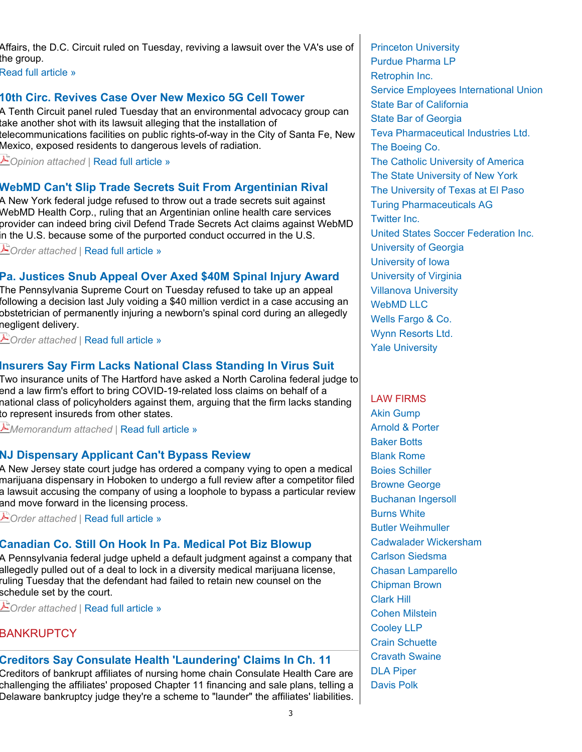Affairs, the D.C. Circuit ruled on Tuesday, reviving a lawsuit over the VA's use of the group. Read full article »

**10th Circ. Revives Case Over New Mexico 5G Cell Tower** 

A Tenth Circuit panel ruled Tuesday that an environmental advocacy group can take another shot with its lawsuit alleging that the installation of telecommunications facilities on public rights-of-way in the City of Santa Fe, New Mexico, exposed residents to dangerous levels of radiation.

*Opinion attached |* Read full article »

## **WebMD Can't Slip Trade Secrets Suit From Argentinian Rival**

A New York federal judge refused to throw out a trade secrets suit against WebMD Health Corp., ruling that an Argentinian online health care services provider can indeed bring civil Defend Trade Secrets Act claims against WebMD in the U.S. because some of the purported conduct occurred in the U.S.

*Order attached |* Read full article »

## **Pa. Justices Snub Appeal Over Axed \$40M Spinal Injury Award**

The Pennsylvania Supreme Court on Tuesday refused to take up an appeal following a decision last July voiding a \$40 million verdict in a case accusing an obstetrician of permanently injuring a newborn's spinal cord during an allegedly negligent delivery.

*Order attached |* Read full article »

## **Insurers Say Firm Lacks National Class Standing In Virus Suit**

Two insurance units of The Hartford have asked a North Carolina federal judge to end a law firm's effort to bring COVID-19-related loss claims on behalf of a national class of policyholders against them, arguing that the firm lacks standing to represent insureds from other states.

*Memorandum attached |* Read full article »

## **NJ Dispensary Applicant Can't Bypass Review**

A New Jersey state court judge has ordered a company vying to open a medical marijuana dispensary in Hoboken to undergo a full review after a competitor filed a lawsuit accusing the company of using a loophole to bypass a particular review and move forward in the licensing process.

*Order attached |* Read full article »

## **Canadian Co. Still On Hook In Pa. Medical Pot Biz Blowup**

A Pennsylvania federal judge upheld a default judgment against a company that allegedly pulled out of a deal to lock in a diversity medical marijuana license, ruling Tuesday that the defendant had failed to retain new counsel on the schedule set by the court.

*Order attached |* Read full article »

## **BANKRUPTCY**

## **Creditors Say Consulate Health 'Laundering' Claims In Ch. 11**

Creditors of bankrupt affiliates of nursing home chain Consulate Health Care are challenging the affiliates' proposed Chapter 11 financing and sale plans, telling a Delaware bankruptcy judge they're a scheme to "launder" the affiliates' liabilities.

Princeton University Purdue Pharma LP Retrophin Inc. Service Employees International Union State Bar of California State Bar of Georgia Teva Pharmaceutical Industries Ltd. The Boeing Co. The Catholic University of America The State University of New York The University of Texas at El Paso Turing Pharmaceuticals AG Twitter Inc. United States Soccer Federation Inc. University of Georgia University of Iowa University of Virginia Villanova University WebMD LLC Wells Fargo & Co. Wynn Resorts Ltd. Yale University

LAW FIRMS Akin Gump Arnold & Porter Baker Botts Blank Rome Boies Schiller Browne George Buchanan Ingersoll Burns White Butler Weihmuller Cadwalader Wickersham Carlson Siedsma Chasan Lamparello Chipman Brown Clark Hill Cohen Milstein Cooley LLP Crain Schuette Cravath Swaine DLA Piper Davis Polk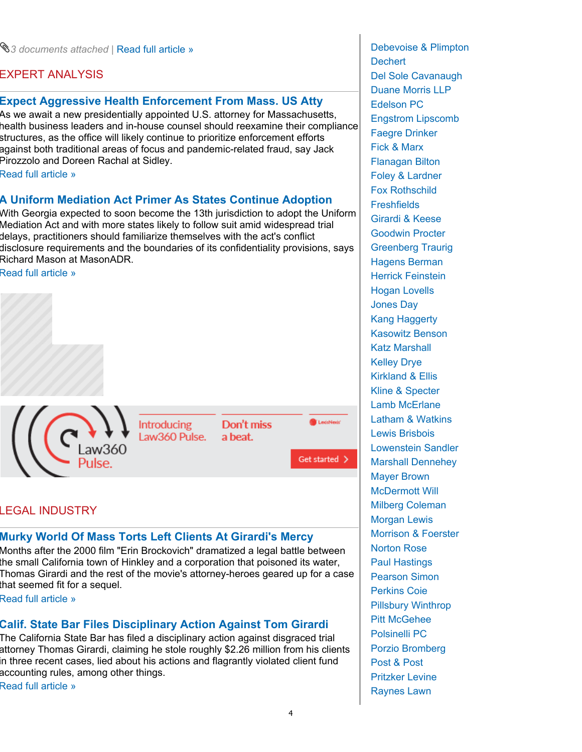# EXPERT ANALYSIS

## **Expect Aggressive Health Enforcement From Mass. US Atty**

As we await a new presidentially appointed U.S. attorney for Massachusetts, health business leaders and in-house counsel should reexamine their compliance structures, as the office will likely continue to prioritize enforcement efforts against both traditional areas of focus and pandemic-related fraud, say Jack Pirozzolo and Doreen Rachal at Sidley.

Read full article »

## **A Uniform Mediation Act Primer As States Continue Adoption**

With Georgia expected to soon become the 13th jurisdiction to adopt the Uniform Mediation Act and with more states likely to follow suit amid widespread trial delays, practitioners should familiarize themselves with the act's conflict disclosure requirements and the boundaries of its confidentiality provisions, says Richard Mason at MasonADR.

Read full article »



## LEGAL INDUSTRY

## **Murky World Of Mass Torts Left Clients At Girardi's Mercy**

Months after the 2000 film "Erin Brockovich" dramatized a legal battle between the small California town of Hinkley and a corporation that poisoned its water, Thomas Girardi and the rest of the movie's attorney-heroes geared up for a case that seemed fit for a sequel.

Read full article »

## **Calif. State Bar Files Disciplinary Action Against Tom Girardi**

The California State Bar has filed a disciplinary action against disgraced trial attorney Thomas Girardi, claiming he stole roughly \$2.26 million from his clients in three recent cases, lied about his actions and flagrantly violated client fund accounting rules, among other things.

Read full article »

Debevoise & Plimpton **Dechert** Del Sole Cavanaugh Duane Morris LLP Edelson PC Engstrom Lipscomb Faegre Drinker Fick & Marx Flanagan Bilton Foley & Lardner Fox Rothschild **Freshfields** Girardi & Keese Goodwin Procter Greenberg Traurig Hagens Berman Herrick Feinstein Hogan Lovells Jones Day Kang Haggerty Kasowitz Benson Katz Marshall Kelley Drye Kirkland & Ellis Kline & Specter Lamb McErlane Latham & Watkins Lewis Brisbois Lowenstein Sandler Marshall Dennehey Mayer Brown McDermott Will Milberg Coleman Morgan Lewis Morrison & Foerster Norton Rose Paul Hastings Pearson Simon Perkins Coie Pillsbury Winthrop Pitt McGehee Polsinelli PC Porzio Bromberg Post & Post Pritzker Levine Raynes Lawn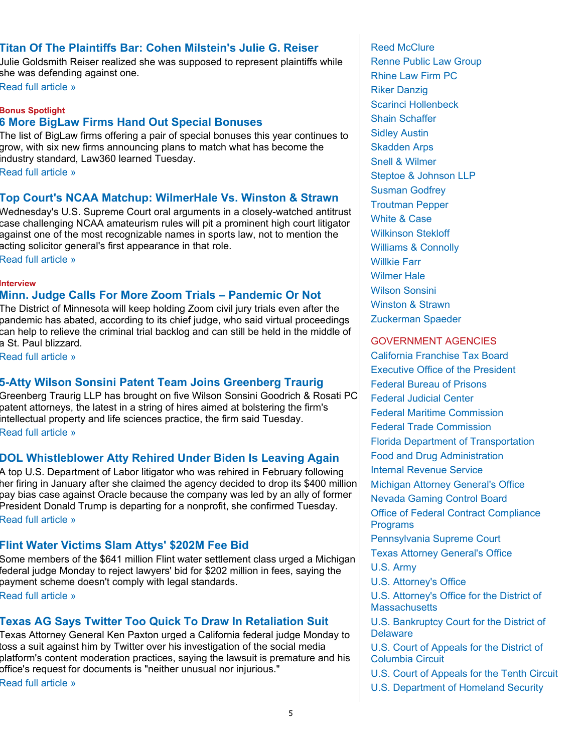### **Titan Of The Plaintiffs Bar: Cohen Milstein's Julie G. Reiser**

Julie Goldsmith Reiser realized she was supposed to represent plaintiffs while she was defending against one.

Read full article »

#### **Bonus Spotlight**

### **6 More BigLaw Firms Hand Out Special Bonuses**

The list of BigLaw firms offering a pair of special bonuses this year continues to grow, with six new firms announcing plans to match what has become the industry standard, Law360 learned Tuesday.

Read full article »

### **Top Court's NCAA Matchup: WilmerHale Vs. Winston & Strawn**

Wednesday's U.S. Supreme Court oral arguments in a closely-watched antitrust case challenging NCAA amateurism rules will pit a prominent high court litigator against one of the most recognizable names in sports law, not to mention the acting solicitor general's first appearance in that role.

Read full article »

#### **Interview**

#### **Minn. Judge Calls For More Zoom Trials – Pandemic Or Not**

The District of Minnesota will keep holding Zoom civil jury trials even after the pandemic has abated, according to its chief judge, who said virtual proceedings can help to relieve the criminal trial backlog and can still be held in the middle of a St. Paul blizzard.

Read full article »

#### **5-Atty Wilson Sonsini Patent Team Joins Greenberg Traurig**

Greenberg Traurig LLP has brought on five Wilson Sonsini Goodrich & Rosati PC patent attorneys, the latest in a string of hires aimed at bolstering the firm's intellectual property and life sciences practice, the firm said Tuesday. Read full article »

#### **DOL Whistleblower Atty Rehired Under Biden Is Leaving Again**

A top U.S. Department of Labor litigator who was rehired in February following her firing in January after she claimed the agency decided to drop its \$400 million pay bias case against Oracle because the company was led by an ally of former President Donald Trump is departing for a nonprofit, she confirmed Tuesday. Read full article »

#### **Flint Water Victims Slam Attys' \$202M Fee Bid**

Some members of the \$641 million Flint water settlement class urged a Michigan federal judge Monday to reject lawyers' bid for \$202 million in fees, saying the payment scheme doesn't comply with legal standards. Read full article »

# **Texas AG Says Twitter Too Quick To Draw In Retaliation Suit**

Texas Attorney General Ken Paxton urged a California federal judge Monday to toss a suit against him by Twitter over his investigation of the social media platform's content moderation practices, saying the lawsuit is premature and his office's request for documents is "neither unusual nor injurious."

Read full article »

Reed McClure Renne Public Law Group Rhine Law Firm PC Riker Danzig Scarinci Hollenbeck Shain Schaffer Sidley Austin Skadden Arps Snell & Wilmer Steptoe & Johnson LLP Susman Godfrey Troutman Pepper White & Case Wilkinson Stekloff Williams & Connolly Willkie Farr Wilmer Hale Wilson Sonsini Winston & Strawn Zuckerman Spaeder

#### GOVERNMENT AGENCIES

California Franchise Tax Board Executive Office of the President Federal Bureau of Prisons Federal Judicial Center Federal Maritime Commission Federal Trade Commission Florida Department of Transportation Food and Drug Administration Internal Revenue Service Michigan Attorney General's Office Nevada Gaming Control Board Office of Federal Contract Compliance Programs Pennsylvania Supreme Court Texas Attorney General's Office U.S. Army U.S. Attorney's Office U.S. Attorney's Office for the District of **Massachusetts** U.S. Bankruptcy Court for the District of **Delaware** 

U.S. Court of Appeals for the District of Columbia Circuit

- U.S. Court of Appeals for the Tenth Circuit
- U.S. Department of Homeland Security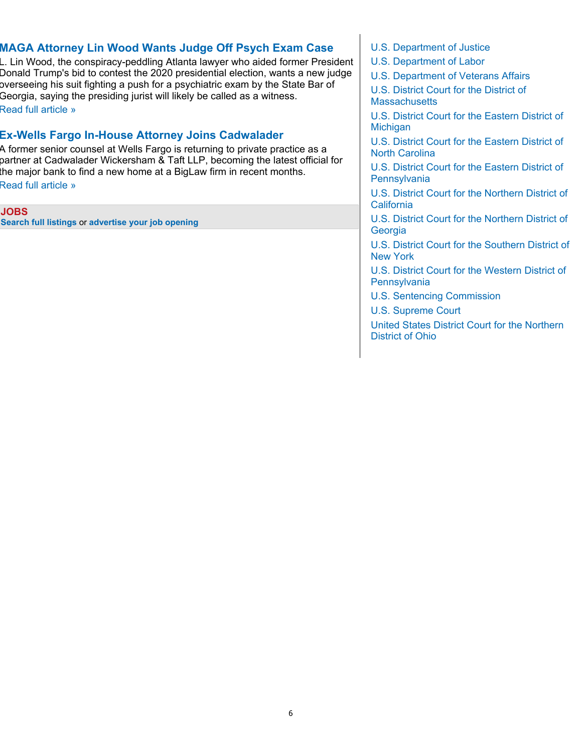### **MAGA Attorney Lin Wood Wants Judge Off Psych Exam Case**

L. Lin Wood, the conspiracy-peddling Atlanta lawyer who aided former President Donald Trump's bid to contest the 2020 presidential election, wants a new judge overseeing his suit fighting a push for a psychiatric exam by the State Bar of Georgia, saying the presiding jurist will likely be called as a witness. Read full article »

## **Ex-Wells Fargo In-House Attorney Joins Cadwalader**

A former senior counsel at Wells Fargo is returning to private practice as a partner at Cadwalader Wickersham & Taft LLP, becoming the latest official for the major bank to find a new home at a BigLaw firm in recent months.

Read full article »

**JOBS Search full listings** or **advertise your job opening**

- U.S. Department of Justice
- U.S. Department of Labor

U.S. Department of Veterans Affairs

U.S. District Court for the District of **Massachusetts** 

U.S. District Court for the Eastern District of **Michigan** 

U.S. District Court for the Eastern District of North Carolina

U.S. District Court for the Eastern District of **Pennsylvania** 

U.S. District Court for the Northern District of **California** 

U.S. District Court for the Northern District of **Georgia** 

U.S. District Court for the Southern District of New York

U.S. District Court for the Western District of **Pennsylvania** 

U.S. Sentencing Commission

U.S. Supreme Court

United States District Court for the Northern District of Ohio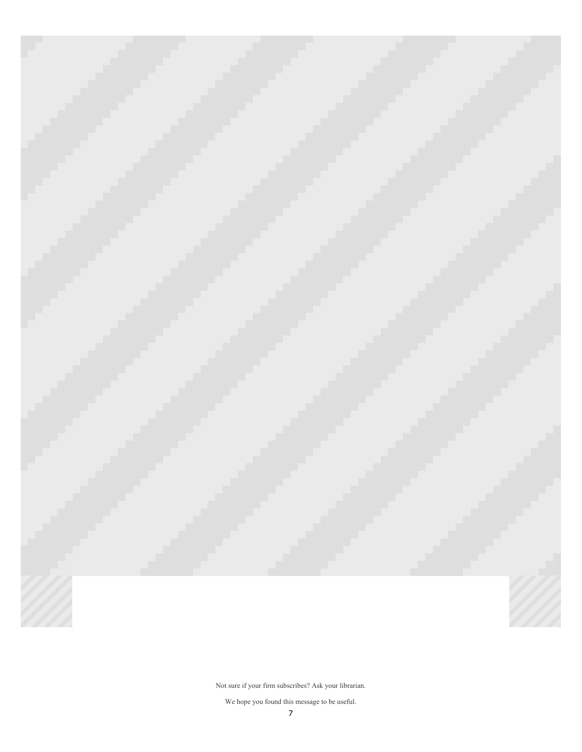z

Not sure if your firm subscribes? Ask your librarian.

We hope you found this message to be useful.